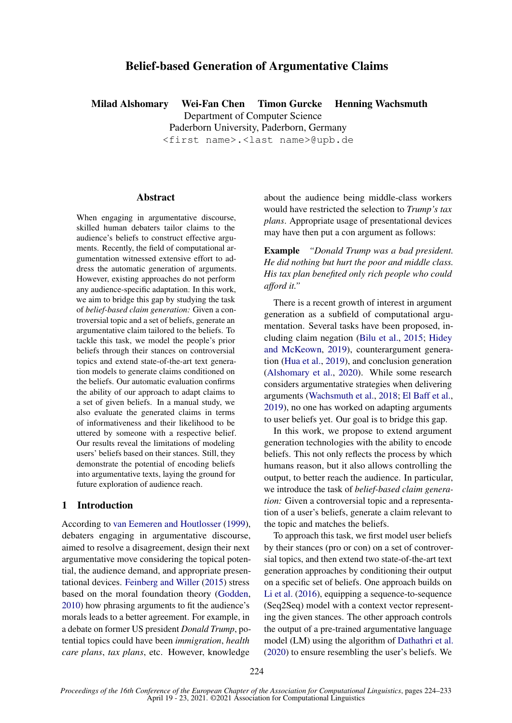# Belief-based Generation of Argumentative Claims

Milad Alshomary Wei-Fan Chen Timon Gurcke Henning Wachsmuth

Department of Computer Science

Paderborn University, Paderborn, Germany <first name>.<last name>@upb.de

# **Abstract**

When engaging in argumentative discourse, skilled human debaters tailor claims to the audience's beliefs to construct effective arguments. Recently, the field of computational argumentation witnessed extensive effort to address the automatic generation of arguments. However, existing approaches do not perform any audience-specific adaptation. In this work, we aim to bridge this gap by studying the task of *belief-based claim generation:* Given a controversial topic and a set of beliefs, generate an argumentative claim tailored to the beliefs. To tackle this task, we model the people's prior beliefs through their stances on controversial topics and extend state-of-the-art text generation models to generate claims conditioned on the beliefs. Our automatic evaluation confirms the ability of our approach to adapt claims to a set of given beliefs. In a manual study, we also evaluate the generated claims in terms of informativeness and their likelihood to be uttered by someone with a respective belief. Our results reveal the limitations of modeling users' beliefs based on their stances. Still, they demonstrate the potential of encoding beliefs into argumentative texts, laying the ground for future exploration of audience reach.

### 1 Introduction

According to [van Eemeren and Houtlosser](#page-8-0) [\(1999\)](#page-8-0), debaters engaging in argumentative discourse, aimed to resolve a disagreement, design their next argumentative move considering the topical potential, the audience demand, and appropriate presentational devices. [Feinberg and Willer](#page-8-1) [\(2015\)](#page-8-1) stress based on the moral foundation theory [\(Godden,](#page-8-2) [2010\)](#page-8-2) how phrasing arguments to fit the audience's morals leads to a better agreement. For example, in a debate on former US president *Donald Trump*, potential topics could have been *immigration*, *health care plans*, *tax plans*, etc. However, knowledge

about the audience being middle-class workers would have restricted the selection to *Trump's tax plans*. Appropriate usage of presentational devices may have then put a con argument as follows:

Example *"Donald Trump was a bad president. He did nothing but hurt the poor and middle class. His tax plan benefited only rich people who could afford it."*

There is a recent growth of interest in argument generation as a subfield of computational argumentation. Several tasks have been proposed, including claim negation [\(Bilu et al.,](#page-8-3) [2015;](#page-8-3) [Hidey](#page-9-0) [and McKeown,](#page-9-0) [2019\)](#page-9-0), counterargument generation [\(Hua et al.,](#page-9-1) [2019\)](#page-9-1), and conclusion generation [\(Alshomary et al.,](#page-8-4) [2020\)](#page-8-4). While some research considers argumentative strategies when delivering arguments [\(Wachsmuth et al.,](#page-9-2) [2018;](#page-9-2) [El Baff et al.,](#page-8-5) [2019\)](#page-8-5), no one has worked on adapting arguments to user beliefs yet. Our goal is to bridge this gap.

In this work, we propose to extend argument generation technologies with the ability to encode beliefs. This not only reflects the process by which humans reason, but it also allows controlling the output, to better reach the audience. In particular, we introduce the task of *belief-based claim generation:* Given a controversial topic and a representation of a user's beliefs, generate a claim relevant to the topic and matches the beliefs.

To approach this task, we first model user beliefs by their stances (pro or con) on a set of controversial topics, and then extend two state-of-the-art text generation approaches by conditioning their output on a specific set of beliefs. One approach builds on [Li et al.](#page-9-3) [\(2016\)](#page-9-3), equipping a sequence-to-sequence (Seq2Seq) model with a context vector representing the given stances. The other approach controls the output of a pre-trained argumentative language model (LM) using the algorithm of [Dathathri et al.](#page-8-6) [\(2020\)](#page-8-6) to ensure resembling the user's beliefs. We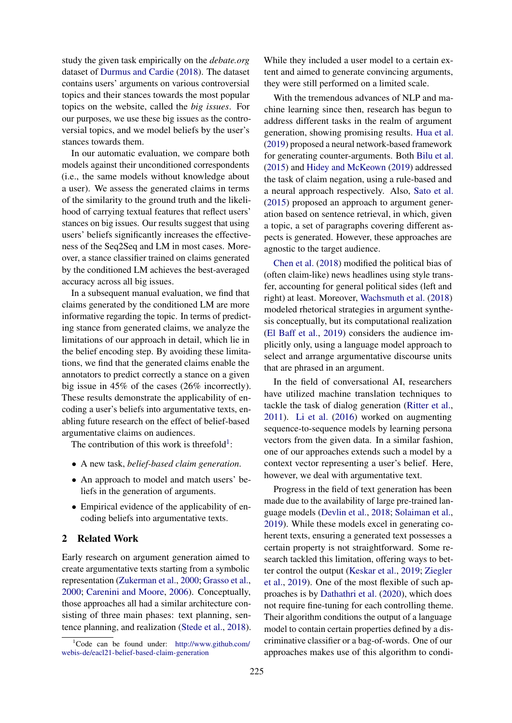study the given task empirically on the *debate.org* dataset of [Durmus and Cardie](#page-8-7) [\(2018\)](#page-8-7). The dataset contains users' arguments on various controversial topics and their stances towards the most popular topics on the website, called the *big issues*. For our purposes, we use these big issues as the controversial topics, and we model beliefs by the user's stances towards them.

In our automatic evaluation, we compare both models against their unconditioned correspondents (i.e., the same models without knowledge about a user). We assess the generated claims in terms of the similarity to the ground truth and the likelihood of carrying textual features that reflect users' stances on big issues. Our results suggest that using users' beliefs significantly increases the effectiveness of the Seq2Seq and LM in most cases. Moreover, a stance classifier trained on claims generated by the conditioned LM achieves the best-averaged accuracy across all big issues.

In a subsequent manual evaluation, we find that claims generated by the conditioned LM are more informative regarding the topic. In terms of predicting stance from generated claims, we analyze the limitations of our approach in detail, which lie in the belief encoding step. By avoiding these limitations, we find that the generated claims enable the annotators to predict correctly a stance on a given big issue in 45% of the cases (26% incorrectly). These results demonstrate the applicability of encoding a user's beliefs into argumentative texts, enabling future research on the effect of belief-based argumentative claims on audiences.

The contribution of this work is threefold<sup>[1](#page-1-0)</sup>:

- A new task, *belief-based claim generation*.
- An approach to model and match users' beliefs in the generation of arguments.
- Empirical evidence of the applicability of encoding beliefs into argumentative texts.

### 2 Related Work

Early research on argument generation aimed to create argumentative texts starting from a symbolic representation [\(Zukerman et al.,](#page-9-4) [2000;](#page-9-4) [Grasso et al.,](#page-9-5) [2000;](#page-9-5) [Carenini and Moore,](#page-8-8) [2006\)](#page-8-8). Conceptually, those approaches all had a similar architecture consisting of three main phases: text planning, sentence planning, and realization [\(Stede et al.,](#page-9-6) [2018\)](#page-9-6). While they included a user model to a certain extent and aimed to generate convincing arguments, they were still performed on a limited scale.

With the tremendous advances of NLP and machine learning since then, research has begun to address different tasks in the realm of argument generation, showing promising results. [Hua et al.](#page-9-1) [\(2019\)](#page-9-1) proposed a neural network-based framework for generating counter-arguments. Both [Bilu et al.](#page-8-3) [\(2015\)](#page-8-3) and [Hidey and McKeown](#page-9-0) [\(2019\)](#page-9-0) addressed the task of claim negation, using a rule-based and a neural approach respectively. Also, [Sato et al.](#page-9-7) [\(2015\)](#page-9-7) proposed an approach to argument generation based on sentence retrieval, in which, given a topic, a set of paragraphs covering different aspects is generated. However, these approaches are agnostic to the target audience.

[Chen et al.](#page-8-9) [\(2018\)](#page-8-9) modified the political bias of (often claim-like) news headlines using style transfer, accounting for general political sides (left and right) at least. Moreover, [Wachsmuth et al.](#page-9-2) [\(2018\)](#page-9-2) modeled rhetorical strategies in argument synthesis conceptually, but its computational realization [\(El Baff et al.,](#page-8-5) [2019\)](#page-8-5) considers the audience implicitly only, using a language model approach to select and arrange argumentative discourse units that are phrased in an argument.

In the field of conversational AI, researchers have utilized machine translation techniques to tackle the task of dialog generation [\(Ritter et al.,](#page-9-8) [2011\)](#page-9-8). [Li et al.](#page-9-3) [\(2016\)](#page-9-3) worked on augmenting sequence-to-sequence models by learning persona vectors from the given data. In a similar fashion, one of our approaches extends such a model by a context vector representing a user's belief. Here, however, we deal with argumentative text.

Progress in the field of text generation has been made due to the availability of large pre-trained language models [\(Devlin et al.,](#page-8-10) [2018;](#page-8-10) [Solaiman et al.,](#page-9-9) [2019\)](#page-9-9). While these models excel in generating coherent texts, ensuring a generated text possesses a certain property is not straightforward. Some research tackled this limitation, offering ways to better control the output [\(Keskar et al.,](#page-9-10) [2019;](#page-9-10) [Ziegler](#page-9-11) [et al.,](#page-9-11) [2019\)](#page-9-11). One of the most flexible of such approaches is by [Dathathri et al.](#page-8-6) [\(2020\)](#page-8-6), which does not require fine-tuning for each controlling theme. Their algorithm conditions the output of a language model to contain certain properties defined by a discriminative classifier or a bag-of-words. One of our approaches makes use of this algorithm to condi-

<span id="page-1-0"></span> ${}^{1}$ Code can be found under: [http://www.github.com/](http://www.github.com/webis-de/eacl21-belief-based-claim-generation) [webis-de/eacl21-belief-based-claim-generation](http://www.github.com/webis-de/eacl21-belief-based-claim-generation)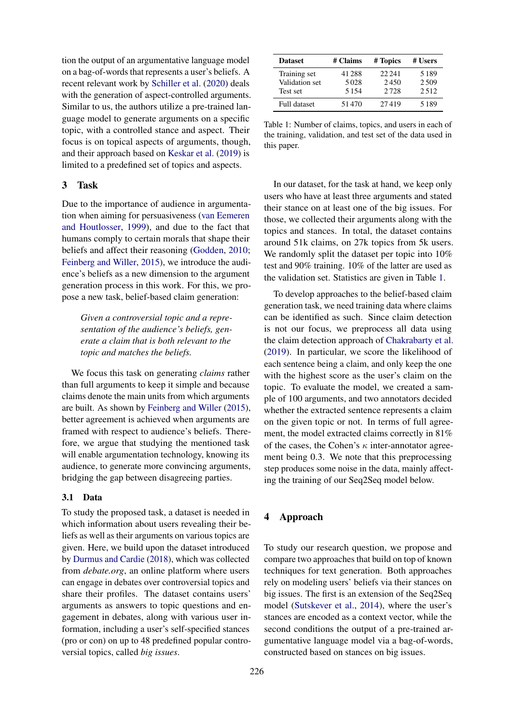tion the output of an argumentative language model on a bag-of-words that represents a user's beliefs. A recent relevant work by [Schiller et al.](#page-9-12) [\(2020\)](#page-9-12) deals with the generation of aspect-controlled arguments. Similar to us, the authors utilize a pre-trained language model to generate arguments on a specific topic, with a controlled stance and aspect. Their focus is on topical aspects of arguments, though, and their approach based on [Keskar et al.](#page-9-10) [\(2019\)](#page-9-10) is limited to a predefined set of topics and aspects.

### 3 Task

Due to the importance of audience in argumentation when aiming for persuasiveness [\(van Eemeren](#page-8-0) [and Houtlosser,](#page-8-0) [1999\)](#page-8-0), and due to the fact that humans comply to certain morals that shape their beliefs and affect their reasoning [\(Godden,](#page-8-2) [2010;](#page-8-2) [Feinberg and Willer,](#page-8-1) [2015\)](#page-8-1), we introduce the audience's beliefs as a new dimension to the argument generation process in this work. For this, we propose a new task, belief-based claim generation:

*Given a controversial topic and a representation of the audience's beliefs, generate a claim that is both relevant to the topic and matches the beliefs.*

We focus this task on generating *claims* rather than full arguments to keep it simple and because claims denote the main units from which arguments are built. As shown by [Feinberg and Willer](#page-8-1) [\(2015\)](#page-8-1), better agreement is achieved when arguments are framed with respect to audience's beliefs. Therefore, we argue that studying the mentioned task will enable argumentation technology, knowing its audience, to generate more convincing arguments, bridging the gap between disagreeing parties.

# 3.1 Data

To study the proposed task, a dataset is needed in which information about users revealing their beliefs as well as their arguments on various topics are given. Here, we build upon the dataset introduced by [Durmus and Cardie](#page-8-7) [\(2018\)](#page-8-7), which was collected from *debate.org*, an online platform where users can engage in debates over controversial topics and share their profiles. The dataset contains users' arguments as answers to topic questions and engagement in debates, along with various user information, including a user's self-specified stances (pro or con) on up to 48 predefined popular controversial topics, called *big issues*.

<span id="page-2-0"></span>

| <b>Dataset</b> | # Claims | # Topics | # Users |
|----------------|----------|----------|---------|
| Training set   | 41 288   | 22.241   | 5189    |
| Validation set | 5028     | 2450     | 2.509   |
| Test set       | 5154     | 2.728    | 2.512   |
| Full dataset   | 51470    | 27419    | 5189    |

Table 1: Number of claims, topics, and users in each of the training, validation, and test set of the data used in this paper.

In our dataset, for the task at hand, we keep only users who have at least three arguments and stated their stance on at least one of the big issues. For those, we collected their arguments along with the topics and stances. In total, the dataset contains around 51k claims, on 27k topics from 5k users. We randomly split the dataset per topic into  $10\%$ test and 90% training. 10% of the latter are used as the validation set. Statistics are given in Table [1.](#page-2-0)

To develop approaches to the belief-based claim generation task, we need training data where claims can be identified as such. Since claim detection is not our focus, we preprocess all data using the claim detection approach of [Chakrabarty et al.](#page-8-11) [\(2019\)](#page-8-11). In particular, we score the likelihood of each sentence being a claim, and only keep the one with the highest score as the user's claim on the topic. To evaluate the model, we created a sample of 100 arguments, and two annotators decided whether the extracted sentence represents a claim on the given topic or not. In terms of full agreement, the model extracted claims correctly in 81% of the cases, the Cohen's  $\kappa$  inter-annotator agreement being 0.3. We note that this preprocessing step produces some noise in the data, mainly affecting the training of our Seq2Seq model below.

# 4 Approach

To study our research question, we propose and compare two approaches that build on top of known techniques for text generation. Both approaches rely on modeling users' beliefs via their stances on big issues. The first is an extension of the Seq2Seq model [\(Sutskever et al.,](#page-9-13) [2014\)](#page-9-13), where the user's stances are encoded as a context vector, while the second conditions the output of a pre-trained argumentative language model via a bag-of-words, constructed based on stances on big issues.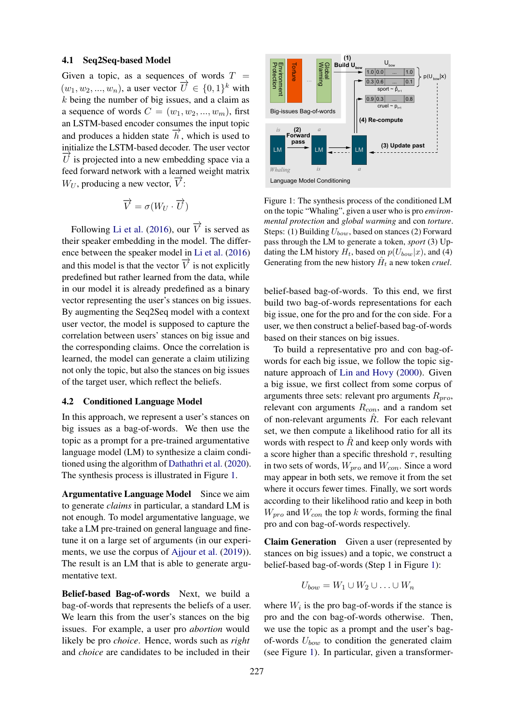#### 4.1 Seq2Seq-based Model

Given a topic, as a sequences of words  $T =$  $(w_1, w_2, ..., w_n)$ , a user vector  $\overrightarrow{U} \in \{0, 1\}^k$  with  $k$  being the number of big issues, and a claim as a sequence of words  $C = (w_1, w_2, ..., w_m)$ , first an LSTM-based encoder consumes the input topic and produces a hidden state  $\vec{h}$ , which is used to initialize the LSTM-based decoder. The user vector  $U$  is projected into a new embedding space via a feed forward network with a learned weight matrix  $W_U$ , producing a new vector,  $\overrightarrow{V}$ :

$$
\overrightarrow{V} = \sigma(W_U \cdot \overrightarrow{U})
$$

Following [Li et al.](#page-9-3) [\(2016\)](#page-9-3), our  $\overrightarrow{V}$  is served as their speaker embedding in the model. The difference between the speaker model in [Li et al.](#page-9-3) [\(2016\)](#page-9-3) and this model is that the vector  $\overrightarrow{V}$  is not explicitly predefined but rather learned from the data, while in our model it is already predefined as a binary vector representing the user's stances on big issues. By augmenting the Seq2Seq model with a context user vector, the model is supposed to capture the correlation between users' stances on big issue and the corresponding claims. Once the correlation is learned, the model can generate a claim utilizing not only the topic, but also the stances on big issues of the target user, which reflect the beliefs.

#### 4.2 Conditioned Language Model

In this approach, we represent a user's stances on big issues as a bag-of-words. We then use the topic as a prompt for a pre-trained argumentative language model (LM) to synthesize a claim conditioned using the algorithm of [Dathathri et al.](#page-8-6) [\(2020\)](#page-8-6). The synthesis process is illustrated in Figure [1.](#page-3-0)

Argumentative Language Model Since we aim to generate *claims* in particular, a standard LM is not enough. To model argumentative language, we take a LM pre-trained on general language and finetune it on a large set of arguments (in our experiments, we use the corpus of [Ajjour et al.](#page-8-12) [\(2019\)](#page-8-12)). The result is an LM that is able to generate argumentative text.

Belief-based Bag-of-words Next, we build a bag-of-words that represents the beliefs of a user. We learn this from the user's stances on the big issues. For example, a user pro *abortion* would likely be pro *choice*. Hence, words such as *right* and *choice* are candidates to be included in their

<span id="page-3-0"></span>

Figure 1: The synthesis process of the conditioned LM on the topic "Whaling", given a user who is pro *environmental protection* and *global warming* and con *torture*. Steps: (1) Building  $U_{bow}$ , based on stances (2) Forward pass through the LM to generate a token, *sport* (3) Updating the LM history  $H_t$ , based on  $p(U_{bow}|x)$ , and (4) Generating from the new history  $\hat{H}_t$  a new token *cruel*.

belief-based bag-of-words. To this end, we first build two bag-of-words representations for each big issue, one for the pro and for the con side. For a user, we then construct a belief-based bag-of-words based on their stances on big issues.

To build a representative pro and con bag-ofwords for each big issue, we follow the topic signature approach of [Lin and Hovy](#page-9-14) [\(2000\)](#page-9-14). Given a big issue, we first collect from some corpus of arguments three sets: relevant pro arguments  $R_{pro}$ , relevant con arguments  $R_{con}$ , and a random set of non-relevant arguments  $\hat{R}$ . For each relevant set, we then compute a likelihood ratio for all its words with respect to  $R$  and keep only words with a score higher than a specific threshold  $\tau$ , resulting in two sets of words,  $W_{pro}$  and  $W_{con}$ . Since a word may appear in both sets, we remove it from the set where it occurs fewer times. Finally, we sort words according to their likelihood ratio and keep in both  $W_{pro}$  and  $W_{con}$  the top k words, forming the final pro and con bag-of-words respectively.

Claim Generation Given a user (represented by stances on big issues) and a topic, we construct a belief-based bag-of-words (Step 1 in Figure [1\)](#page-3-0):

$$
U_{bow} = W_1 \cup W_2 \cup \ldots \cup W_n
$$

where  $W_i$  is the pro bag-of-words if the stance is pro and the con bag-of-words otherwise. Then, we use the topic as a prompt and the user's bagof-words  $U_{bow}$  to condition the generated claim (see Figure [1\)](#page-3-0). In particular, given a transformer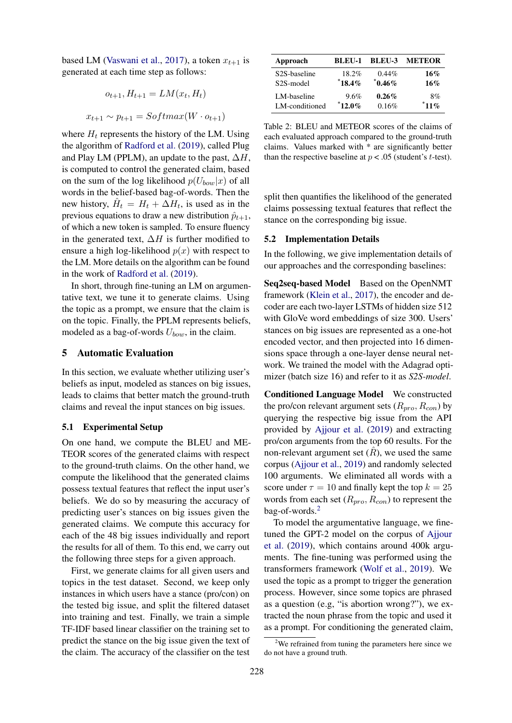based LM [\(Vaswani et al.,](#page-9-15) [2017\)](#page-9-15), a token  $x_{t+1}$  is generated at each time step as follows:

$$
o_{t+1}, H_{t+1} = LM(x_t, H_t)
$$

$$
x_{t+1} \sim p_{t+1} = Softmax(W \cdot o_{t+1})
$$

where  $H_t$  represents the history of the LM. Using the algorithm of [Radford et al.](#page-9-16) [\(2019\)](#page-9-16), called Plug and Play LM (PPLM), an update to the past,  $\Delta H$ , is computed to control the generated claim, based on the sum of the log likelihood  $p(U_{bow}|x)$  of all words in the belief-based bag-of-words. Then the new history,  $\hat{H}_t = H_t + \Delta H_t$ , is used as in the previous equations to draw a new distribution  $\hat{p}_{t+1}$ , of which a new token is sampled. To ensure fluency in the generated text,  $\Delta H$  is further modified to ensure a high log-likelihood  $p(x)$  with respect to the LM. More details on the algorithm can be found in the work of [Radford et al.](#page-9-16) [\(2019\)](#page-9-16).

In short, through fine-tuning an LM on argumentative text, we tune it to generate claims. Using the topic as a prompt, we ensure that the claim is on the topic. Finally, the PPLM represents beliefs, modeled as a bag-of-words  $U_{bow}$ , in the claim.

# 5 Automatic Evaluation

In this section, we evaluate whether utilizing user's beliefs as input, modeled as stances on big issues, leads to claims that better match the ground-truth claims and reveal the input stances on big issues.

### 5.1 Experimental Setup

On one hand, we compute the BLEU and ME-TEOR scores of the generated claims with respect to the ground-truth claims. On the other hand, we compute the likelihood that the generated claims possess textual features that reflect the input user's beliefs. We do so by measuring the accuracy of predicting user's stances on big issues given the generated claims. We compute this accuracy for each of the 48 big issues individually and report the results for all of them. To this end, we carry out the following three steps for a given approach.

First, we generate claims for all given users and topics in the test dataset. Second, we keep only instances in which users have a stance (pro/con) on the tested big issue, and split the filtered dataset into training and test. Finally, we train a simple TF-IDF based linear classifier on the training set to predict the stance on the big issue given the text of the claim. The accuracy of the classifier on the test

<span id="page-4-1"></span>

| Approach               | BLEU-1   | <b>BLEU-3</b> | <b>METEOR</b> |
|------------------------|----------|---------------|---------------|
| S2S-baseline           | 18.2%    | $0.44\%$      | 16%           |
| S <sub>2</sub> S-model | $18.4\%$ | $^*$ 0.46%    | 16%           |
| LM-baseline            | $9.6\%$  | $0.26\%$      | 8%            |
| LM-conditioned         | $12.0\%$ | 0.16%         | $11\%$        |

Table 2: BLEU and METEOR scores of the claims of each evaluated approach compared to the ground-truth claims. Values marked with \* are significantly better than the respective baseline at  $p < .05$  (student's t-test).

split then quantifies the likelihood of the generated claims possessing textual features that reflect the stance on the corresponding big issue.

#### 5.2 Implementation Details

In the following, we give implementation details of our approaches and the corresponding baselines:

Seq2seq-based Model Based on the OpenNMT framework [\(Klein et al.,](#page-9-17) [2017\)](#page-9-17), the encoder and decoder are each two-layer LSTMs of hidden size 512 with GloVe word embeddings of size 300. Users' stances on big issues are represented as a one-hot encoded vector, and then projected into 16 dimensions space through a one-layer dense neural network. We trained the model with the Adagrad optimizer (batch size 16) and refer to it as *S2S-model*.

Conditioned Language Model We constructed the pro/con relevant argument sets  $(R_{pro}, R_{con})$  by querying the respective big issue from the API provided by [Ajjour et al.](#page-8-12) [\(2019\)](#page-8-12) and extracting pro/con arguments from the top 60 results. For the non-relevant argument set  $(R)$ , we used the same corpus [\(Ajjour et al.,](#page-8-12) [2019\)](#page-8-12) and randomly selected 100 arguments. We eliminated all words with a score under  $\tau = 10$  and finally kept the top  $k = 25$ words from each set  $(R_{pro}, R_{con})$  to represent the bag-of-words.[2](#page-4-0)

To model the argumentative language, we finetuned the GPT-2 model on the corpus of [Ajjour](#page-8-12) [et al.](#page-8-12) [\(2019\)](#page-8-12), which contains around 400k arguments. The fine-tuning was performed using the transformers framework [\(Wolf et al.,](#page-9-18) [2019\)](#page-9-18). We used the topic as a prompt to trigger the generation process. However, since some topics are phrased as a question (e.g, "is abortion wrong?"), we extracted the noun phrase from the topic and used it as a prompt. For conditioning the generated claim,

<span id="page-4-0"></span> $2$ We refrained from tuning the parameters here since we do not have a ground truth.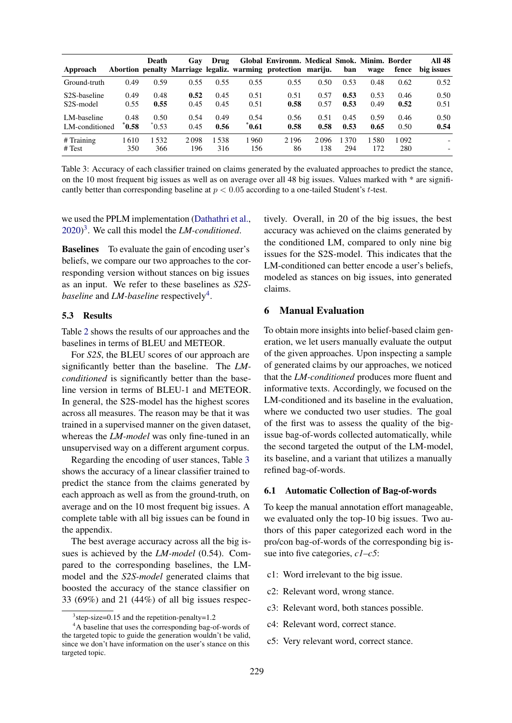<span id="page-5-2"></span>

| Approach                  |                 | Death          | Gav  | Drug  |       | Global Environm. Medical Smok. Minim. Border<br>Abortion penalty Marriage legaliz. warming protection mariju. |      | ban  | wage | fence | <b>All 48</b><br>big issues |
|---------------------------|-----------------|----------------|------|-------|-------|---------------------------------------------------------------------------------------------------------------|------|------|------|-------|-----------------------------|
| Ground-truth              | 0.49            | 0.59           | 0.55 | 0.55  | 0.55  | 0.55                                                                                                          | 0.50 | 0.53 | 0.48 | 0.62  | 0.52                        |
| S <sub>2</sub> S-baseline | 0.49            | 0.48           | 0.52 | 0.45  | 0.51  | 0.51                                                                                                          | 0.57 | 0.53 | 0.53 | 0.46  | 0.50                        |
| S <sub>2</sub> S-model    | 0.55            | 0.55           | 0.45 | 0.45  | 0.51  | 0.58                                                                                                          | 0.57 | 0.53 | 0.49 | 0.52  | 0.51                        |
| LM-baseline               | 0.48            | 0.50           | 0.54 | 0.49  | 0.54  | 0.56                                                                                                          | 0.51 | 0.45 | 0.59 | 0.46  | 0.50                        |
| LM-conditioned            | $^{\circ}$ 0.58 | $\degree$ 0.53 | 0.45 | 0.56  | *0.61 | 0.58                                                                                                          | 0.58 | 0.53 | 0.65 | 0.50  | 0.54                        |
| $#$ Training              | 1 610           | 1532           | 2098 | 1.538 | 1960  | 2 1 9 6                                                                                                       | 2096 | 1370 | 1580 | 1092  | $\overline{\phantom{a}}$    |
| # Test                    | 350             | 366            | 196  | 316   | 156   | 86                                                                                                            | 138  | 294  | 172  | 280   |                             |

Table 3: Accuracy of each classifier trained on claims generated by the evaluated approaches to predict the stance, on the 10 most frequent big issues as well as on average over all 48 big issues. Values marked with \* are significantly better than corresponding baseline at  $p < 0.05$  according to a one-tailed Student's t-test.

we used the PPLM implementation [\(Dathathri et al.,](#page-8-6) [2020\)](#page-8-6) [3](#page-5-0) . We call this model the *LM-conditioned*.

Baselines To evaluate the gain of encoding user's beliefs, we compare our two approaches to the corresponding version without stances on big issues as an input. We refer to these baselines as *S2Sbaseline* and *LM-baseline* respectively<sup>[4](#page-5-1)</sup>.

#### 5.3 Results

Table [2](#page-4-1) shows the results of our approaches and the baselines in terms of BLEU and METEOR.

For *S2S*, the BLEU scores of our approach are significantly better than the baseline. The *LMconditioned* is significantly better than the baseline version in terms of BLEU-1 and METEOR. In general, the S2S-model has the highest scores across all measures. The reason may be that it was trained in a supervised manner on the given dataset, whereas the *LM-model* was only fine-tuned in an unsupervised way on a different argument corpus.

Regarding the encoding of user stances, Table [3](#page-5-2) shows the accuracy of a linear classifier trained to predict the stance from the claims generated by each approach as well as from the ground-truth, on average and on the 10 most frequent big issues. A complete table with all big issues can be found in the appendix.

The best average accuracy across all the big issues is achieved by the *LM-model* (0.54). Compared to the corresponding baselines, the LMmodel and the *S2S-model* generated claims that boosted the accuracy of the stance classifier on 33 (69%) and 21 (44%) of all big issues respectively. Overall, in 20 of the big issues, the best accuracy was achieved on the claims generated by the conditioned LM, compared to only nine big issues for the S2S-model. This indicates that the LM-conditioned can better encode a user's beliefs, modeled as stances on big issues, into generated claims.

#### 6 Manual Evaluation

To obtain more insights into belief-based claim generation, we let users manually evaluate the output of the given approaches. Upon inspecting a sample of generated claims by our approaches, we noticed that the *LM-conditioned* produces more fluent and informative texts. Accordingly, we focused on the LM-conditioned and its baseline in the evaluation, where we conducted two user studies. The goal of the first was to assess the quality of the bigissue bag-of-words collected automatically, while the second targeted the output of the LM-model, its baseline, and a variant that utilizes a manually refined bag-of-words.

#### 6.1 Automatic Collection of Bag-of-words

To keep the manual annotation effort manageable, we evaluated only the top-10 big issues. Two authors of this paper categorized each word in the pro/con bag-of-words of the corresponding big issue into five categories, *c1–c5*:

- c1: Word irrelevant to the big issue.
- c2: Relevant word, wrong stance.
- c3: Relevant word, both stances possible.
- c4: Relevant word, correct stance.
- c5: Very relevant word, correct stance.

<span id="page-5-1"></span><span id="page-5-0"></span><sup>&</sup>lt;sup>3</sup> step-size=0.15 and the repetition-penalty=1.2

<sup>&</sup>lt;sup>4</sup>A baseline that uses the corresponding bag-of-words of the targeted topic to guide the generation wouldn't be valid, since we don't have information on the user's stance on this targeted topic.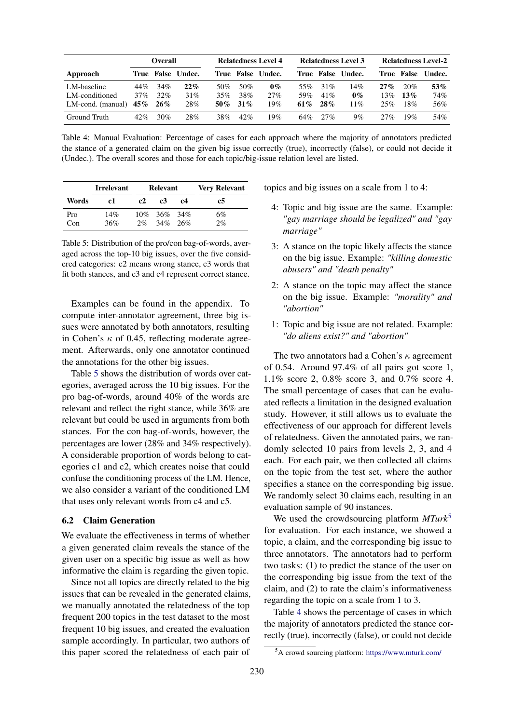<span id="page-6-2"></span>

|                   | <b>Overall</b> |            |        | <b>Relatedness Level 4</b> |     | <b>Relatedness Level 3</b> |     |     | <b>Relatedness Level-2</b> |     |                   |        |
|-------------------|----------------|------------|--------|----------------------------|-----|----------------------------|-----|-----|----------------------------|-----|-------------------|--------|
| Approach          |                | True False | Undec. |                            |     | True False Undec.          |     |     | True False Undec.          |     | <b>True False</b> | Undec. |
| LM-baseline       | 44%            | 34%        | 22%    | 50%                        | 50% | $0\%$                      | 55% | 31% | 14%                        | 27% | 20%               | 53%    |
| LM-conditioned    | 37%            | 32%        | 31%    | 35%                        | 38% | 27%                        | 59% | 41% | $0\%$                      | 13% | 13%               | 74%    |
| LM-cond. (manual) | 45%            | 26%        | 28%    | 50%                        | 31% | 19%                        | 61% | 28% | $1\%$                      | 25% | 18%               | 56%    |
| Ground Truth      | 42%            | 30%        | 28%    | 38%                        | 42% | 19%                        | 64% | 27% | $9\%$                      | 27% | 19%               | 54%    |

Table 4: Manual Evaluation: Percentage of cases for each approach where the majority of annotators predicted the stance of a generated claim on the given big issue correctly (true), incorrectly (false), or could not decide it (Undec.). The overall scores and those for each topic/big-issue relation level are listed.

<span id="page-6-0"></span>

|       | <b>Irrelevant</b> |    | Relevant         |    | <b>Very Relevant</b> |  |  |
|-------|-------------------|----|------------------|----|----------------------|--|--|
| Words | c1                | c2 | c3               | c4 | c5                   |  |  |
| Pro   | 14%               |    | $10\%$ 36\% 34\% |    | 6%                   |  |  |
| Con   | 36%               | 2% | $34\%$ 26\%      |    | 2%                   |  |  |

Table 5: Distribution of the pro/con bag-of-words, averaged across the top-10 big issues, over the five considered categories: c2 means wrong stance, c3 words that fit both stances, and c3 and c4 represent correct stance.

Examples can be found in the appendix. To compute inter-annotator agreement, three big issues were annotated by both annotators, resulting in Cohen's  $\kappa$  of 0.45, reflecting moderate agreement. Afterwards, only one annotator continued the annotations for the other big issues.

Table [5](#page-6-0) shows the distribution of words over categories, averaged across the 10 big issues. For the pro bag-of-words, around 40% of the words are relevant and reflect the right stance, while 36% are relevant but could be used in arguments from both stances. For the con bag-of-words, however, the percentages are lower (28% and 34% respectively). A considerable proportion of words belong to categories c1 and c2, which creates noise that could confuse the conditioning process of the LM. Hence, we also consider a variant of the conditioned LM that uses only relevant words from c4 and c5.

### 6.2 Claim Generation

We evaluate the effectiveness in terms of whether a given generated claim reveals the stance of the given user on a specific big issue as well as how informative the claim is regarding the given topic.

Since not all topics are directly related to the big issues that can be revealed in the generated claims, we manually annotated the relatedness of the top frequent 200 topics in the test dataset to the most frequent 10 big issues, and created the evaluation sample accordingly. In particular, two authors of this paper scored the relatedness of each pair of

topics and big issues on a scale from 1 to 4:

- 4: Topic and big issue are the same. Example: *"gay marriage should be legalized" and "gay marriage"*
- 3: A stance on the topic likely affects the stance on the big issue. Example: *"killing domestic abusers" and "death penalty"*
- 2: A stance on the topic may affect the stance on the big issue. Example: *"morality" and "abortion"*
- 1: Topic and big issue are not related. Example: *"do aliens exist?" and "abortion"*

The two annotators had a Cohen's  $\kappa$  agreement of 0.54. Around 97.4% of all pairs got score 1, 1.1% score 2, 0.8% score 3, and 0.7% score 4. The small percentage of cases that can be evaluated reflects a limitation in the designed evaluation study. However, it still allows us to evaluate the effectiveness of our approach for different levels of relatedness. Given the annotated pairs, we randomly selected 10 pairs from levels 2, 3, and 4 each. For each pair, we then collected all claims on the topic from the test set, where the author specifies a stance on the corresponding big issue. We randomly select 30 claims each, resulting in an evaluation sample of 90 instances.

We used the crowdsourcing platform *MTurk*<sup>[5](#page-6-1)</sup> for evaluation. For each instance, we showed a topic, a claim, and the corresponding big issue to three annotators. The annotators had to perform two tasks: (1) to predict the stance of the user on the corresponding big issue from the text of the claim, and (2) to rate the claim's informativeness regarding the topic on a scale from 1 to 3.

Table [4](#page-6-2) shows the percentage of cases in which the majority of annotators predicted the stance correctly (true), incorrectly (false), or could not decide

<span id="page-6-1"></span><sup>5</sup>A crowd sourcing platform: <https://www.mturk.com/>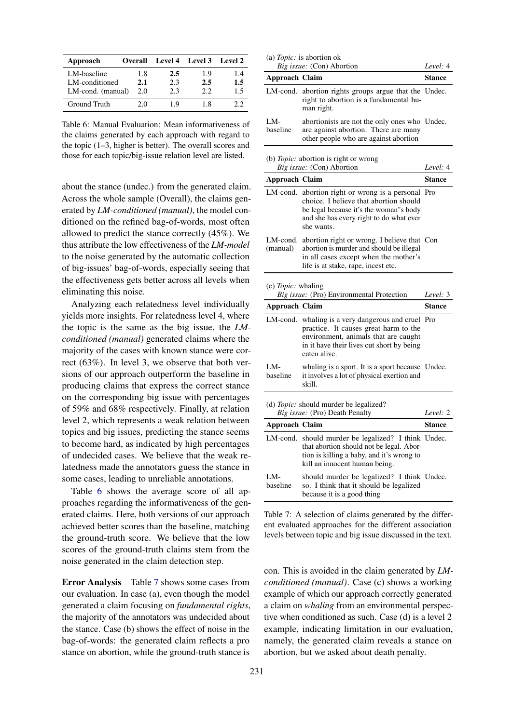<span id="page-7-0"></span>

| Approach          | <b>Overall</b> |     | Level 4 Level 3 Level 2 |     |
|-------------------|----------------|-----|-------------------------|-----|
| LM-baseline       | 1.8            | 2.5 | 1.9                     | 1.4 |
| LM-conditioned    | 2.1            | 2.3 | 2.5                     | 1.5 |
| LM-cond. (manual) | 2.0            | 2.3 | 22                      | 1.5 |
| Ground Truth      | 20             | 1 Q | 18                      | 22  |

Table 6: Manual Evaluation: Mean informativeness of the claims generated by each approach with regard to the topic (1–3, higher is better). The overall scores and those for each topic/big-issue relation level are listed.

about the stance (undec.) from the generated claim. Across the whole sample (Overall), the claims generated by *LM-conditioned (manual)*, the model conditioned on the refined bag-of-words, most often allowed to predict the stance correctly (45%). We thus attribute the low effectiveness of the *LM-model* to the noise generated by the automatic collection of big-issues' bag-of-words, especially seeing that the effectiveness gets better across all levels when eliminating this noise.

Analyzing each relatedness level individually yields more insights. For relatedness level 4, where the topic is the same as the big issue, the *LMconditioned (manual)* generated claims where the majority of the cases with known stance were correct (63%). In level 3, we observe that both versions of our approach outperform the baseline in producing claims that express the correct stance on the corresponding big issue with percentages of 59% and 68% respectively. Finally, at relation level 2, which represents a weak relation between topics and big issues, predicting the stance seems to become hard, as indicated by high percentages of undecided cases. We believe that the weak relatedness made the annotators guess the stance in some cases, leading to unreliable annotations.

Table [6](#page-7-0) shows the average score of all approaches regarding the informativeness of the generated claims. Here, both versions of our approach achieved better scores than the baseline, matching the ground-truth score. We believe that the low scores of the ground-truth claims stem from the noise generated in the claim detection step.

Error Analysis Table [7](#page-7-1) shows some cases from our evaluation. In case (a), even though the model generated a claim focusing on *fundamental rights*, the majority of the annotators was undecided about the stance. Case (b) shows the effect of noise in the bag-of-words: the generated claim reflects a pro stance on abortion, while the ground-truth stance is

<span id="page-7-1"></span>

|                       | (a) $Topic:$ is abortion ok<br>Big issue: (Con) Abortion                                                                                                                                | Level: 4      |
|-----------------------|-----------------------------------------------------------------------------------------------------------------------------------------------------------------------------------------|---------------|
| Approach Claim        |                                                                                                                                                                                         | Stance        |
| LM-cond.              | abortion rights groups argue that the Undec.<br>right to abortion is a fundamental hu-<br>man right.                                                                                    |               |
| LM-<br>baseline       | abortionists are not the only ones who Undec.<br>are against abortion. There are many<br>other people who are against abortion                                                          |               |
|                       | (b) Topic: abortion is right or wrong<br>Big issue: (Con) Abortion                                                                                                                      | Level: 4      |
| <b>Approach Claim</b> |                                                                                                                                                                                         | <b>Stance</b> |
| LM-cond.              | abortion right or wrong is a personal<br>choice. I believe that abortion should<br>be legal because it's the woman"s body<br>and she has every right to do what ever<br>she wants.      | Pro           |
| LM-cond.<br>(manual)  | abortion right or wrong. I believe that Con<br>abortion is murder and should be illegal<br>in all cases except when the mother's<br>life is at stake, rape, incest etc.                 |               |
| (c) $Topic:$ whaling  | Big issue: (Pro) Environmental Protection                                                                                                                                               | Level: 3      |
| <b>Approach Claim</b> |                                                                                                                                                                                         | Stance        |
| LM-cond.              | whaling is a very dangerous and cruel Pro<br>practice. It causes great harm to the<br>environment, animals that are caught<br>in it have their lives cut short by being<br>eaten alive. |               |
| LM-<br>baseline       | whaling is a sport. It is a sport because Undec.<br>it involves a lot of physical exertion and<br>skill.                                                                                |               |
|                       | (d) <i>Topic</i> : should murder be legalized?<br>Big issue: (Pro) Death Penalty                                                                                                        | Level: 2      |
| Approach Claim        |                                                                                                                                                                                         | Stance        |
| LM-cond.              | should murder be legalized? I think Undec.<br>that abortion should not be legal. Abor-<br>tion is killing a baby, and it's wrong to<br>kill an innocent human being.                    |               |
| LM-<br>baseline       | should murder be legalized? I think Undec.<br>so. I think that it should be legalized<br>because it is a good thing                                                                     |               |

Table 7: A selection of claims generated by the different evaluated approaches for the different association levels between topic and big issue discussed in the text.

con. This is avoided in the claim generated by *LMconditioned (manual)*. Case (c) shows a working example of which our approach correctly generated a claim on *whaling* from an environmental perspective when conditioned as such. Case (d) is a level 2 example, indicating limitation in our evaluation, namely, the generated claim reveals a stance on abortion, but we asked about death penalty.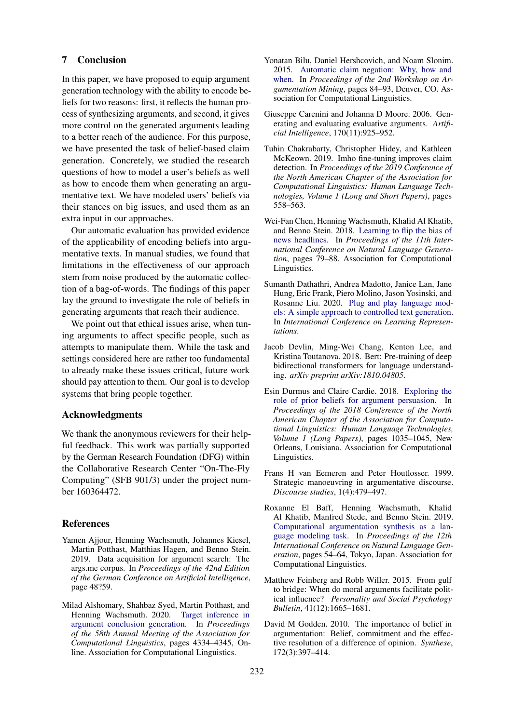#### 7 Conclusion

In this paper, we have proposed to equip argument generation technology with the ability to encode beliefs for two reasons: first, it reflects the human process of synthesizing arguments, and second, it gives more control on the generated arguments leading to a better reach of the audience. For this purpose, we have presented the task of belief-based claim generation. Concretely, we studied the research questions of how to model a user's beliefs as well as how to encode them when generating an argumentative text. We have modeled users' beliefs via their stances on big issues, and used them as an extra input in our approaches.

Our automatic evaluation has provided evidence of the applicability of encoding beliefs into argumentative texts. In manual studies, we found that limitations in the effectiveness of our approach stem from noise produced by the automatic collection of a bag-of-words. The findings of this paper lay the ground to investigate the role of beliefs in generating arguments that reach their audience.

We point out that ethical issues arise, when tuning arguments to affect specific people, such as attempts to manipulate them. While the task and settings considered here are rather too fundamental to already make these issues critical, future work should pay attention to them. Our goal is to develop systems that bring people together.

### Acknowledgments

We thank the anonymous reviewers for their helpful feedback. This work was partially supported by the German Research Foundation (DFG) within the Collaborative Research Center "On-The-Fly Computing" (SFB 901/3) under the project number 160364472.

#### References

- <span id="page-8-12"></span>Yamen Ajjour, Henning Wachsmuth, Johannes Kiesel, Martin Potthast, Matthias Hagen, and Benno Stein. 2019. Data acquisition for argument search: The args.me corpus. In *Proceedings of the 42nd Edition of the German Conference on Artificial Intelligence*, page 48?59.
- <span id="page-8-4"></span>Milad Alshomary, Shahbaz Syed, Martin Potthast, and Henning Wachsmuth. 2020. [Target inference in](https://doi.org/10.18653/v1/2020.acl-main.399) [argument conclusion generation.](https://doi.org/10.18653/v1/2020.acl-main.399) In *Proceedings of the 58th Annual Meeting of the Association for Computational Linguistics*, pages 4334–4345, Online. Association for Computational Linguistics.
- <span id="page-8-3"></span>Yonatan Bilu, Daniel Hershcovich, and Noam Slonim. 2015. [Automatic claim negation: Why, how and](https://doi.org/10.3115/v1/W15-0511) [when.](https://doi.org/10.3115/v1/W15-0511) In *Proceedings of the 2nd Workshop on Argumentation Mining*, pages 84–93, Denver, CO. Association for Computational Linguistics.
- <span id="page-8-8"></span>Giuseppe Carenini and Johanna D Moore. 2006. Generating and evaluating evaluative arguments. *Artificial Intelligence*, 170(11):925–952.
- <span id="page-8-11"></span>Tuhin Chakrabarty, Christopher Hidey, and Kathleen McKeown. 2019. Imho fine-tuning improves claim detection. In *Proceedings of the 2019 Conference of the North American Chapter of the Association for Computational Linguistics: Human Language Technologies, Volume 1 (Long and Short Papers)*, pages 558–563.
- <span id="page-8-9"></span>Wei-Fan Chen, Henning Wachsmuth, Khalid Al Khatib, and Benno Stein. 2018. [Learning to flip the bias of](http://aclweb.org/anthology/W18-6509) [news headlines.](http://aclweb.org/anthology/W18-6509) In *Proceedings of the 11th International Conference on Natural Language Generation*, pages 79–88. Association for Computational Linguistics.
- <span id="page-8-6"></span>Sumanth Dathathri, Andrea Madotto, Janice Lan, Jane Hung, Eric Frank, Piero Molino, Jason Yosinski, and Rosanne Liu. 2020. [Plug and play language mod](https://openreview.net/forum?id=H1edEyBKDS)[els: A simple approach to controlled text generation.](https://openreview.net/forum?id=H1edEyBKDS) In *International Conference on Learning Representations*.
- <span id="page-8-10"></span>Jacob Devlin, Ming-Wei Chang, Kenton Lee, and Kristina Toutanova. 2018. Bert: Pre-training of deep bidirectional transformers for language understanding. *arXiv preprint arXiv:1810.04805*.
- <span id="page-8-7"></span>Esin Durmus and Claire Cardie. 2018. [Exploring the](https://doi.org/10.18653/v1/N18-1094) [role of prior beliefs for argument persuasion.](https://doi.org/10.18653/v1/N18-1094) In *Proceedings of the 2018 Conference of the North American Chapter of the Association for Computational Linguistics: Human Language Technologies, Volume 1 (Long Papers)*, pages 1035–1045, New Orleans, Louisiana. Association for Computational Linguistics.
- <span id="page-8-0"></span>Frans H van Eemeren and Peter Houtlosser. 1999. Strategic manoeuvring in argumentative discourse. *Discourse studies*, 1(4):479–497.
- <span id="page-8-5"></span>Roxanne El Baff, Henning Wachsmuth, Khalid Al Khatib, Manfred Stede, and Benno Stein. 2019. [Computational argumentation synthesis as a lan](https://doi.org/10.18653/v1/W19-8607)[guage modeling task.](https://doi.org/10.18653/v1/W19-8607) In *Proceedings of the 12th International Conference on Natural Language Generation*, pages 54–64, Tokyo, Japan. Association for Computational Linguistics.
- <span id="page-8-1"></span>Matthew Feinberg and Robb Willer. 2015. From gulf to bridge: When do moral arguments facilitate political influence? *Personality and Social Psychology Bulletin*, 41(12):1665–1681.
- <span id="page-8-2"></span>David M Godden. 2010. The importance of belief in argumentation: Belief, commitment and the effective resolution of a difference of opinion. *Synthese*, 172(3):397–414.